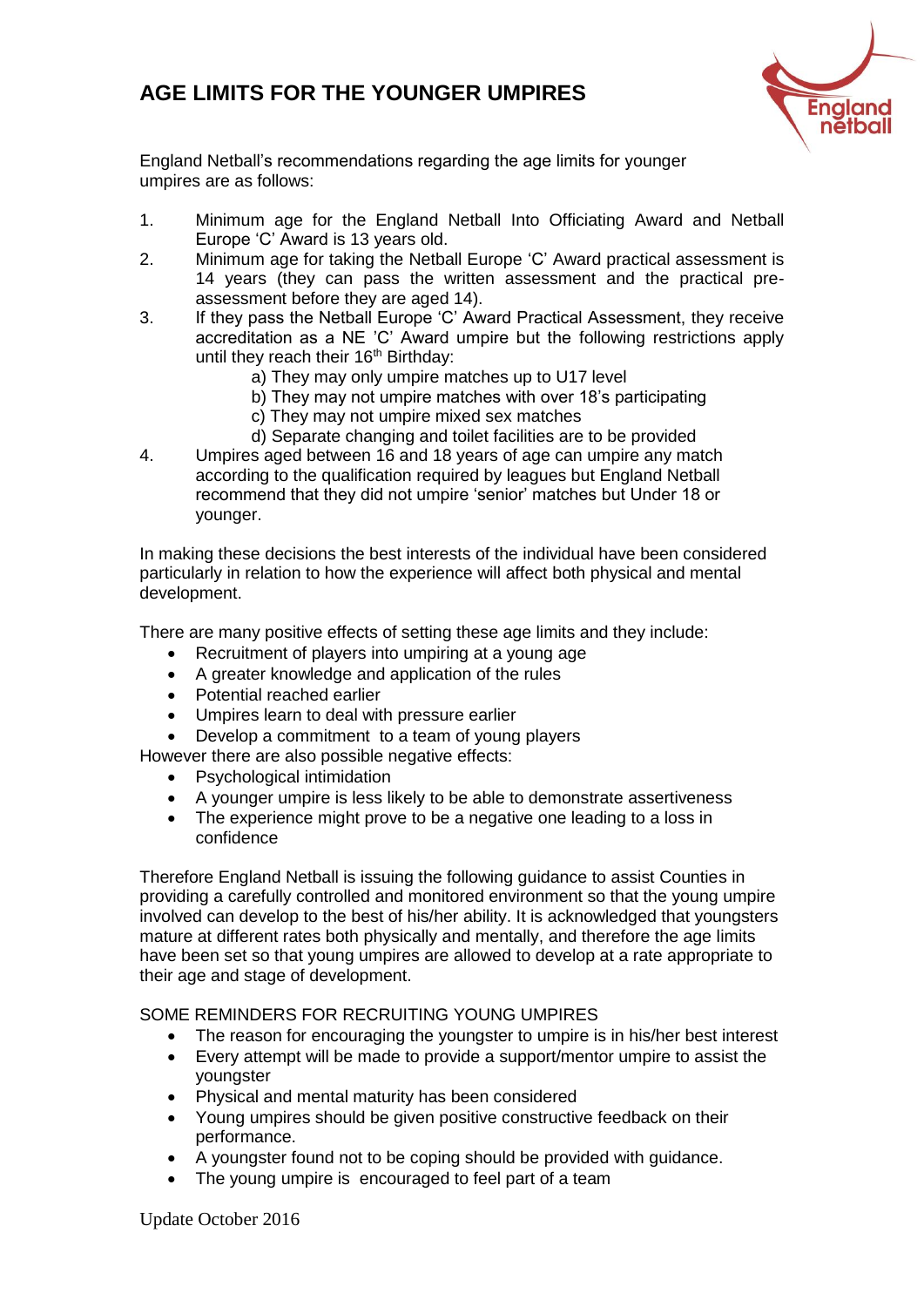## **AGE LIMITS FOR THE YOUNGER UMPIRES**



England Netball's recommendations regarding the age limits for younger umpires are as follows:

- 1. Minimum age for the England Netball Into Officiating Award and Netball Europe 'C' Award is 13 years old.
- 2. Minimum age for taking the Netball Europe 'C' Award practical assessment is 14 years (they can pass the written assessment and the practical preassessment before they are aged 14).
- 3. If they pass the Netball Europe 'C' Award Practical Assessment, they receive accreditation as a NE 'C' Award umpire but the following restrictions apply until they reach their 16<sup>th</sup> Birthday:
	- a) They may only umpire matches up to U17 level
	- b) They may not umpire matches with over 18's participating
	- c) They may not umpire mixed sex matches
	- d) Separate changing and toilet facilities are to be provided
- 4. Umpires aged between 16 and 18 years of age can umpire any match according to the qualification required by leagues but England Netball recommend that they did not umpire 'senior' matches but Under 18 or younger.

In making these decisions the best interests of the individual have been considered particularly in relation to how the experience will affect both physical and mental development.

There are many positive effects of setting these age limits and they include:

- Recruitment of players into umpiring at a young age
- A greater knowledge and application of the rules
- Potential reached earlier
- Umpires learn to deal with pressure earlier
- Develop a commitment to a team of young players
- However there are also possible negative effects:
	- Psychological intimidation
	- A younger umpire is less likely to be able to demonstrate assertiveness
	- The experience might prove to be a negative one leading to a loss in confidence

Therefore England Netball is issuing the following guidance to assist Counties in providing a carefully controlled and monitored environment so that the young umpire involved can develop to the best of his/her ability. It is acknowledged that youngsters mature at different rates both physically and mentally, and therefore the age limits have been set so that young umpires are allowed to develop at a rate appropriate to their age and stage of development.

SOME REMINDERS FOR RECRUITING YOUNG UMPIRES

- The reason for encouraging the youngster to umpire is in his/her best interest
- Every attempt will be made to provide a support/mentor umpire to assist the youngster
- Physical and mental maturity has been considered
- Young umpires should be given positive constructive feedback on their performance.
- A youngster found not to be coping should be provided with guidance.
- The young umpire is encouraged to feel part of a team